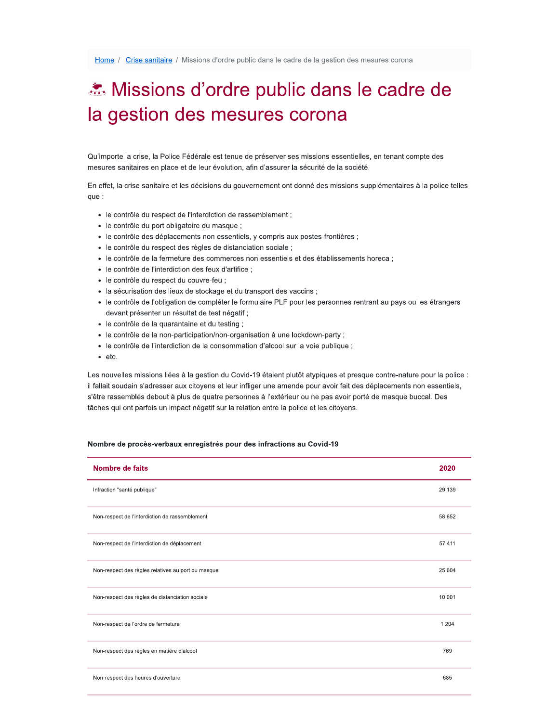## Missions d'ordre public dans le cadre de la gestion des mesures corona

Qu'importe la crise, la Police Fédérale est tenue de préserver ses missions essentielles, en tenant compte des mesures sanitaires en place et de leur évolution, afin d'assurer la sécurité de la société.

En effet, la crise sanitaire et les décisions du gouvernement ont donné des missions supplémentaires à la police telles que :

- le contrôle du respect de l'interdiction de rassemblement ;
- · le contrôle du port obligatoire du masque ;
- · le contrôle des déplacements non essentiels, y compris aux postes-frontières ;
- · le contrôle du respect des règles de distanciation sociale ;
- le contrôle de la fermeture des commerces non essentiels et des établissements horeca ;
- · le contrôle de l'interdiction des feux d'artifice ;
- · le contrôle du respect du couvre-feu ;
- · la sécurisation des lieux de stockage et du transport des vaccins ;
- · le contrôle de l'obligation de compléter le formulaire PLF pour les personnes rentrant au pays ou les étrangers devant présenter un résultat de test négatif ;
- · le contrôle de la quarantaine et du testing ;
- le contrôle de la non-participation/non-organisation à une lockdown-party ;
- le contrôle de l'interdiction de la consommation d'alcool sur la voie publique ;
- $\bullet$  etc.

Les nouvelles missions liées à la gestion du Covid-19 étaient plutôt atypiques et presque contre-nature pour la police : il fallait soudain s'adresser aux citoyens et leur infliger une amende pour avoir fait des déplacements non essentiels, s'être rassemblés debout à plus de quatre personnes à l'extérieur ou ne pas avoir porté de masque buccal. Des tâches qui ont parfois un impact négatif sur la relation entre la police et les citoyens.

## Nombre de procès-verbaux enregistrés pour des infractions au Covid-19

| Nombre de faits                                    | 2020    |
|----------------------------------------------------|---------|
| Infraction "santé publique"                        | 29 139  |
| Non-respect de l'interdiction de rassemblement     | 58 652  |
| Non-respect de l'interdiction de déplacement       | 57 411  |
| Non-respect des règles relatives au port du masque | 25 604  |
| Non-respect des règles de distanciation sociale    | 10 001  |
| Non-respect de l'ordre de fermeture                | 1 2 0 4 |
| Non-respect des règles en matière d'alcool         | 769     |
| Non-respect des heures d'ouverture                 | 685     |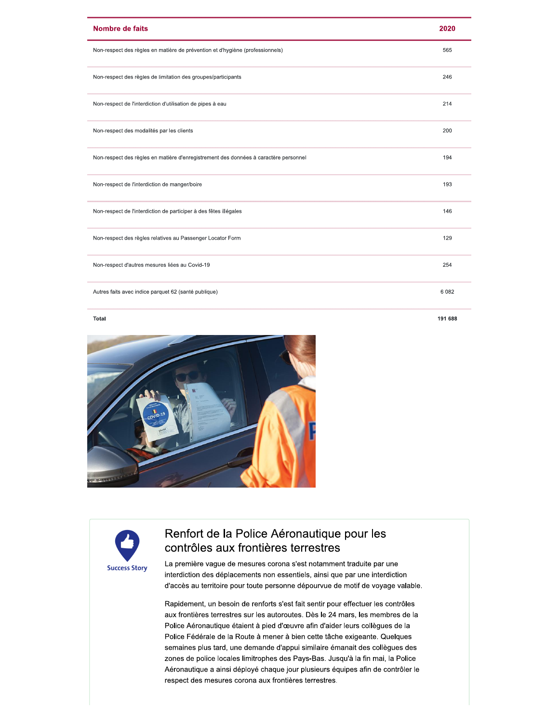| <b>Nombre de faits</b>                                                               | 2020    |
|--------------------------------------------------------------------------------------|---------|
| Non-respect des règles en matière de prévention et d'hygiène (professionnels)        | 565     |
| Non-respect des règles de limitation des groupes/participants                        | 246     |
| Non-respect de l'interdiction d'utilisation de pipes à eau                           | 214     |
| Non-respect des modalités par les clients                                            | 200     |
| Non-respect des règles en matière d'enregistrement des données à caractère personnel | 194     |
| Non-respect de l'interdiction de manger/boire                                        | 193     |
| Non-respect de l'interdiction de participer à des fêtes illégales                    | 146     |
| Non-respect des règles relatives au Passenger Locator Form                           | 129     |
| Non-respect d'autres mesures liées au Covid-19                                       | 254     |
| Autres faits avec indice parquet 62 (santé publique)                                 | 6 0 8 2 |

191 688

## Total



## Renfort de la Police Aéronautique pour les contrôles aux frontières terrestres

La première vague de mesures corona s'est notamment traduite par une interdiction des déplacements non essentiels, ainsi que par une interdiction d'accès au territoire pour toute personne dépourvue de motif de voyage valable.

Rapidement, un besoin de renforts s'est fait sentir pour effectuer les contrôles aux frontières terrestres sur les autoroutes. Dès le 24 mars, les membres de la Police Aéronautique étaient à pied d'œuvre afin d'aider leurs collègues de la Police Fédérale de la Route à mener à bien cette tâche exigeante. Quelques semaines plus tard, une demande d'appui similaire émanait des collègues des zones de police locales limitrophes des Pays-Bas. Jusqu'à la fin mai, la Police Aéronautique a ainsi déployé chaque jour plusieurs équipes afin de contrôler le respect des mesures corona aux frontières terrestres.